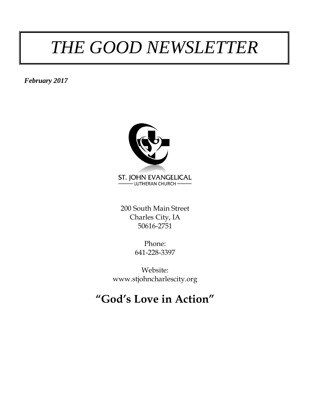### *THE GOOD NEWSLETTER*

*February 2017*



200 South Main Street Charles City, IA 50616-2751

> Phone: 641-228-3397

Website: www.stjohncharlescity.org

### **"God's Love in Action"**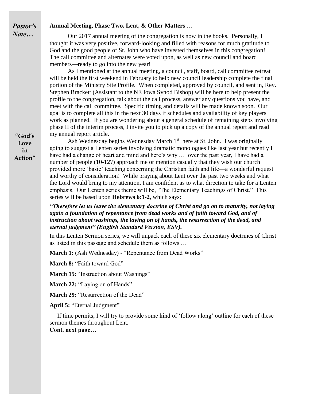#### **Annual Meeting, Phase Two, Lent, & Other Matters** …

Our 2017 annual meeting of the congregation is now in the books. Personally, I thought it was very positive, forward-looking and filled with reasons for much gratitude to God and the good people of St. John who have invested themselves in this congregation! The call committee and alternates were voted upon, as well as new council and board members—ready to go into the new year!

As I mentioned at the annual meeting, a council, staff, board, call committee retreat will be held the first weekend in February to help new council leadership complete the final portion of the Ministry Site Profile. When completed, approved by council, and sent in, Rev. Stephen Brackett (Assistant to the NE Iowa Synod Bishop) will be here to help present the profile to the congregation, talk about the call process, answer any questions you have, and meet with the call committee. Specific timing and details will be made known soon. Our goal is to complete all this in the next 30 days if schedules and availability of key players work as planned. If you are wondering about a general schedule of remaining steps involving phase II of the interim process, I invite you to pick up a copy of the annual report and read my annual report article.

Ash Wednesday begins Wednesday March 1<sup>st</sup> here at St. John. I was originally going to suggest a Lenten series involving dramatic monologues like last year but recently I have had a change of heart and mind and here's why ... over the past year, I have had a number of people (10-12?) approach me or mention casually that they wish our church provided more 'basic' teaching concerning the Christian faith and life—a wonderful request and worthy of consideration! While praying about Lent over the past two weeks and what the Lord would bring to my attention, I am confident as to what direction to take for a Lenten emphasis. Our Lenten series theme will be, "The Elementary Teachings of Christ." This series will be based upon **Hebrews 6:1-2**, which says:

*"Therefore let us leave the elementary doctrine of Christ and go on to maturity, not laying again a foundation of repentance from dead works and of faith toward God, and of instruction about washings, the laying on of hands, the resurrection of the dead, and eternal judgment" (English Standard Version, ESV).* 

In this Lenten Sermon series, we will unpack each of these six elementary doctrines of Christ as listed in this passage and schedule them as follows …

**March 1:** (Ash Wednesday) - "Repentance from Dead Works"

**March 8:** "Faith toward God"

**March 15**: "Instruction about Washings"

**March 22:** "Laying on of Hands"

**March 29:** "Resurrection of the Dead"

**April 5:** "Eternal Judgment"

 If time permits, I will try to provide some kind of 'follow along' outline for each of these sermon themes throughout Lent.

**Cont. next page…**

**"God's Love in Action"**

*Pastor's Note…*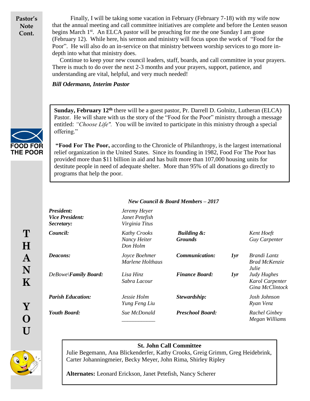**Pastor's Note Cont.**

Finally, I will be taking some vacation in February (February 7-18) with my wife now that the annual meeting and call committee initiatives are complete and before the Lenten season begins March 1<sup>st</sup>. An ELCA pastor will be preaching for me the one Sunday I am gone (February 12). While here, his sermon and ministry will focus upon the work of "Food for the Poor". He will also do an in-service on that ministry between worship services to go more indepth into what that ministry does.

 Continue to keep your new council leaders, staff, boards, and call committee in your prayers. There is much to do over the next 2-3 months and your prayers, support, patience, and understanding are vital, helpful, and very much needed!

*Bill Odermann, Interim Pastor*



**T**

**H**

**A**

**N**

**K**

**Y**

**O**

**U**

**Sunday, February 12th** there will be a guest pastor, Pr. Darrell D. Golnitz, Lutheran (ELCA) Pastor. He will share with us the story of the "Food for the Poor" ministry through a message entitled: *"Choose Life".* You will be invited to participate in this ministry through a special offering."

**"Food For The Poor,** according to the Chronicle of Philanthropy, is the largest international relief organization in the United States. Since its founding in 1982, Food For The Poor has provided more than \$11 billion in aid and has built more than 107,000 housing units for destitute people in need of adequate shelter. More than 95% of all donations go directly to programs that help the poor.

| <b>President:</b><br><i>Vice President:</i><br>Secretary: | Jeremy Heyer<br>Janet Petefish<br>Virginia Titus |                                          |     |                                                   |
|-----------------------------------------------------------|--------------------------------------------------|------------------------------------------|-----|---------------------------------------------------|
| Council:                                                  | <b>Kathy Crooks</b><br>Nancy Heiter<br>Don Holm  | <b>Building &amp;:</b><br><b>Grounds</b> |     | Kent Hoeft<br>Guy Carpenter                       |
| Deacons:                                                  | Joyce Boehmer<br>Marlene Holthaus                | Communication:                           | 1yr | Brandi Lantz<br><b>Brad McKenzie</b><br>Julie     |
| DeBowe\Family Board:                                      | Lisa Hinz<br>Sabra Lacour                        | <b>Finance Board:</b>                    | 1yr | Judy Hughes<br>Karol Carpenter<br>Gina McClintock |
| <b>Parish Education:</b>                                  | Jessie Holm<br>Yung Feng Liu                     | Stewardship:                             |     | Josh Johnson<br>Ryan Venz                         |
| <b>Youth Board:</b>                                       | Sue McDonald                                     | <b>Preschool Board:</b>                  |     | Rachel Ginbey<br>Megan Williams                   |

#### *New Council & Board Members – 2017*

#### **St. John Call Committee**

Julie Begemann, Ana Blickenderfer, Kathy Crooks, Greig Grimm, Greg Heidebrink, Carter Johanningmeier, Becky Meyer, John Rima, Shirley Ripley

**Alternates:** Leonard Erickson, Janet Petefish, Nancy Scherer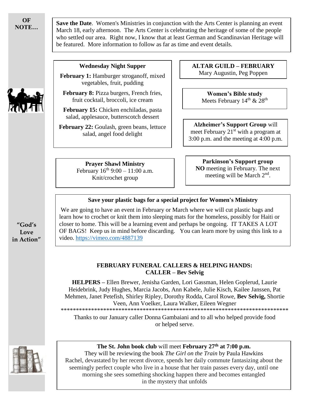**OF NOTE…**

**Save the Date**. Women's Ministries in conjunction with the Arts Center is planning an event March 18, early afternoon. The Arts Center is celebrating the heritage of some of the people who settled our area. Right now, I know that at least German and Scandinavian Heritage will be featured. More information to follow as far as time and event details.

### **Wednesday Night Supper**

**February 1:** Hamburger stroganoff, mixed vegetables, fruit, pudding

**February 8:** Pizza burgers, French fries, fruit cocktail, broccoli, ice cream

**February 15:** Chicken enchiladas, pasta salad, applesauce, butterscotch dessert

**February 22:** Goulash, green beans, lettuce salad, angel food delight

**ALTAR GUILD – FEBRUARY** Mary Augustin, Peg Poppen

> **Women's Bible study** Meets February  $14<sup>th</sup>$  &  $28<sup>th</sup>$

**Alzheimer's Support Group** will meet February  $21<sup>st</sup>$  with a program at 3:00 p.m. and the meeting at 4:00 p.m.

**Prayer Shawl Ministry** February  $16^{th}$  9:00 – 11:00 a.m. Knit/crochet group

**Parkinson's Support group NO** meeting in February. The next meeting will be March 2<sup>nd</sup>.

#### **Save your plastic bags for a special project for Women's Ministry**

We are going to have an event in February or March where we will cut plastic bags and learn how to crochet or knit them into sleeping mats for the homeless, possibly for Haiti or closer to home. This will be a learning event and perhaps be ongoing. IT TAKES A LOT OF BAGS! Keep us in mind before discarding. You can learn more by using this link to a video.<https://vimeo.com/4887139>

#### **FEBRUARY FUNERAL CALLERS & HELPING HANDS: CALLER – Bev Selvig**

**HELPERS –** Ellen Brewer, Jenisha Garden, Lori Gassman, Helen Goplerud, Laurie Heidebrink, Judy Hughes, Marcia Jacobs, Ann Kabele, Julie Kisch, Kailee Janssen, Pat Mehmen, Janet Petefish, Shirley Ripley, Dorothy Rodda, Carol Rowe, **Bev Selvig,** Shortie Veen, Ann Voelker, Laura Walker, Eileen Wegner \*\*\*\*\*\*\*\*\*\*\*\*\*\*\*\*\*\*\*\*\*\*\*\*\*\*\*\*\*\*\*\*\*\*\*\*\*\*\*\*\*\*\*\*\*\*\*\*\*\*\*\*\*\*\*\*\*\*\*\*\*\*\*\*\*\*\*\*\*\*\*\*\*\*\*

Thanks to our January caller Donna Gambaiani and to all who helped provide food or helped serve.



**The St. John book club** will meet **February 27th at 7:00 p.m.**

They will be reviewing the book *The Girl on the Train* by Paula Hawkins Rachel, devastated by her recent divorce, spends her daily commute fantasizing about the seemingly perfect couple who live in a house that her train passes every day, until one morning she sees something shocking happen there and becomes entangled in the mystery that unfolds



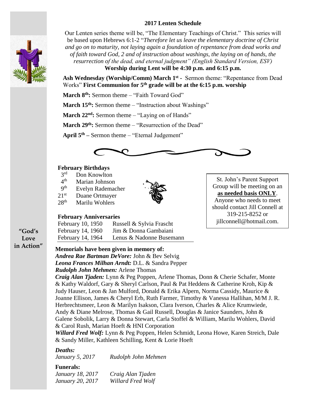#### **2017 Lenten Schedule**



Our Lenten series theme will be, "The Elementary Teachings of Christ." This series will be based upon Hebrews 6:1-2 "*Therefore let us leave the elementary doctrine of Christ and go on to maturity, not laying again a foundation of repentance from dead works and of faith toward God, 2 and of instruction about washings, the laying on of hands, the resurrection of the dead, and eternal judgment" (English Standard Version, ESV)* **Worship during Lent will be 4:30 p.m. and 6:15 p.m.**

**Ash Wednesday (Worship/Comm) March 1st -** Sermon theme: "Repentance from Dead Works" **First Communion for 5th grade will be at the 6:15 p.m. worship**

**March 8th:** Sermon theme – "Faith Toward God"

**March 15<sup>th</sup>:** Sermon theme – "Instruction about Washings"

**March 22nd:** Sermon theme – "Laying on of Hands"

**March 29th:** Sermon theme – "Resurrection of the Dead"

**April 5th –** Sermon theme – "Eternal Judgement"



#### **February Birthdays**

- $3<sup>rd</sup>$ Don Knowlton
- $4<sup>th</sup>$ Marian Johnson
- 9 th Evelyn Rademacher
- 21<sup>st</sup> Duane Ortmayer
- 28<sup>th</sup> Marilu Wohlers



#### **February Anniversaries**

| February 10, 1950 | Russell & Sylvia Frascht |
|-------------------|--------------------------|
| February 14, 1960 | Jim & Donna Gambaiani    |
| February 14, 1964 | Lenus & Nadonne Busemann |

**"God's Love in Action"**

#### **Memorials have been given in memory of:**

*Andrea Rae Bartman DeVore:* John & Bev Selvig *Leona Frances Milhan Arndt:* D.L. & Sandra Pepper *Rudolph John Mehmen:* Arlene Thomas

*Craig Alan Tjaden:* Lynn & Peg Poppen, Arlene Thomas, Donn & Cherie Schafer, Monte & Kathy Waldorf, Gary & Sheryl Carlson, Paul & Pat Heddens & Catherine Kroh, Kip & Judy Hauser, Leon & Jan Mulford, Donald & Erika Alpern, Norma Cassidy, Maurice & Joanne Ellison, James & Cheryl Erb, Ruth Farmer, Timothy & Vanessa Hallihan, M/M J. R. Herbrechtsmeer, Leon & Marilyn Isakson, Clara Iverson, Charles & Alice Krumwiede, Andy & Diane Melrose, Thomas & Gail Russell, Douglas & Janice Saunders, John & Galene Sobolik, Larry & Donna Stewart, Carla Stoffel & William, Marilu Wohlers, David & Carol Rush, Marian Hoeft & HNI Corporation

*Willard Fred Wolf:* Lynn & Peg Poppen, Helen Schmidt, Leona Howe, Karen Streich, Dale & Sandy Miller, Kathleen Schilling, Kent & Lorie Hoeft

#### *Deaths:*

*January 5, 2017 Rudolph John Mehmen*

#### **Funerals:**

| January 18, 2017 | Craig Alan Tjaden |
|------------------|-------------------|
| January 20, 2017 | Willard Fred Wolf |

St. John's Parent Support Group will be meeting on an **as needed basis ONLY**. Anyone who needs to meet should contact Jill Connell at 319-215-8252 or jillconnell@hotmail.com.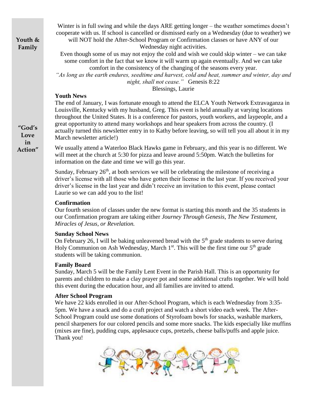**Youth & Family**

Winter is in full swing and while the days ARE getting longer – the weather sometimes doesn't cooperate with us. If school is cancelled or dismissed early on a Wednesday (due to weather) we will NOT hold the After-School Program or Confirmation classes or have ANY of our

Wednesday night activities.

Even though some of us may not enjoy the cold and wish we could skip winter – we can take some comfort in the fact that we know it will warm up again eventually. And we can take comfort in the consistency of the changing of the seasons every year.

*"As long as the earth endures, seedtime and harvest, cold and heat, summer and winter, day and night, shall not cease."* Genesis 8:22

Blessings, Laurie

#### **Youth News**

The end of January, I was fortunate enough to attend the ELCA Youth Network Extravaganza in Louisville, Kentucky with my husband, Greg. This event is held annually at varying locations throughout the United States. It is a conference for pastors, youth workers, and laypeople, and a great opportunity to attend many workshops and hear speakers from across the country. (I actually turned this newsletter entry in to Kathy before leaving, so will tell you all about it in my March newsletter article!)

We usually attend a Waterloo Black Hawks game in February, and this year is no different. We will meet at the church at 5:30 for pizza and leave around 5:50pm. Watch the bulletins for information on the date and time we will go this year.

Sunday, February  $26<sup>th</sup>$ , at both services we will be celebrating the milestone of receiving a driver's license with all those who have gotten their license in the last year. If you received your driver's license in the last year and didn't receive an invitation to this event, please contact Laurie so we can add you to the list!

#### **Confirmation**

Our fourth session of classes under the new format is starting this month and the 35 students in our Confirmation program are taking either *Journey Through Genesis, The New Testament, Miracles of Jesus, or Revelation.*

#### **Sunday School News**

On February 26, I will be baking unleavened bread with the  $5<sup>th</sup>$  grade students to serve during Holy Communion on Ash Wednesday, March  $1<sup>st</sup>$ . This will be the first time our  $5<sup>th</sup>$  grade students will be taking communion.

#### **Family Board**

Sunday, March 5 will be the Family Lent Event in the Parish Hall. This is an opportunity for parents and children to make a clay prayer pot and some additional crafts together. We will hold this event during the education hour, and all families are invited to attend.

#### **After School Program**

We have 22 kids enrolled in our After-School Program, which is each Wednesday from 3:35- 5pm. We have a snack and do a craft project and watch a short video each week. The After-School Program could use some donations of Styrofoam bowls for snacks, washable markers, pencil sharpeners for our colored pencils and some more snacks. The kids especially like muffins (mixes are fine), pudding cups, applesauce cups, pretzels, cheese balls/puffs and apple juice. Thank you!



**"God's Love in Action"**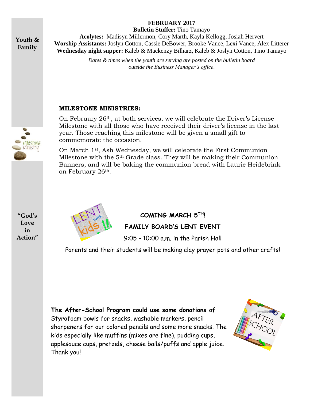#### **FEBRUARY 2017 Bulletin Stuffer:** Tino Tamayo

**Youth & Family**

**Acolytes:** Madisyn Millermon, Cory Marth, Kayla Kellogg, Josiah Hervert **Worship Assistants:** Joslyn Cotton, Cassie DeBower, Brooke Vance, Lexi Vance, Alex Litterer **Wednesday night supper:** Kaleb & Mackenzy Bilharz, Kaleb & Joslyn Cotton, Tino Tamayo

> *Dates & times when the youth are serving are posted on the bulletin board outside the Business Manager's office*.

#### **MILESTONE MINISTRIES:**

On February 26th, at both services, we will celebrate the Driver's License Milestone with all those who have received their driver's license in the last year. Those reaching this milestone will be given a small gift to commemorate the occasion.

On March 1st, Ash Wednesday, we will celebrate the First Communion Milestone with the 5th Grade class. They will be making their Communion Banners, and will be baking the communion bread with Laurie Heidebrink on February 26th.

**"God's Love in Action"**

*Ailestone* Ministry



**COMING MARCH 5TH! FAMILY BOARD'S LENT EVENT**

9:05 – 10:00 a.m. in the Parish Hall

Parents and their students will be making clay prayer pots and other crafts!

**The After-School Program could use some donations** of Styrofoam bowls for snacks, washable markers, pencil sharpeners for our colored pencils and some more snacks. The kids especially like muffins (mixes are fine), pudding cups, applesauce cups, pretzels, cheese balls/puffs and apple juice. Thank you!

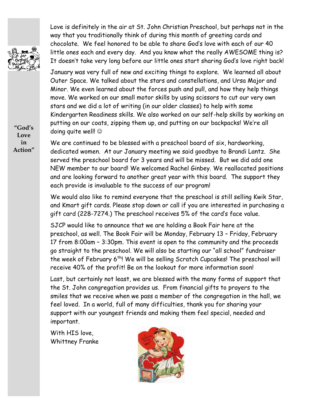Love is definitely in the air at St. John Christian Preschool, but perhaps not in the way that you traditionally think of during this month of greeting cards and chocolate. We feel honored to be able to share God's love with each of our 40 little ones each and every day. And you know what the really AWESOME thing is? It doesn't take very long before our little ones start sharing God's love right back!

January was very full of new and exciting things to explore. We learned all about Outer Space. We talked about the stars and constellations, and Ursa Major and Minor. We even learned about the forces push and pull, and how they help things move. We worked on our small motor skills by using scissors to cut our very own stars and we did a lot of writing (in our older classes) to help with some Kindergarten Readiness skills. We also worked on our self-help skills by working on putting on our coats, zipping them up, and putting on our backpacks! We're all doing quite well!

We are continued to be blessed with a preschool board of six, hardworking, dedicated women. At our January meeting we said goodbye to Brandi Lantz. She served the preschool board for 3 years and will be missed. But we did add one NEW member to our board! We welcomed Rachel Ginbey. We reallocated positions and are looking forward to another great year with this board. The support they each provide is invaluable to the success of our program!

We would also like to remind everyone that the preschool is still selling Kwik Star, and Kmart gift cards. Please stop down or call if you are interested in purchasing a gift card (228-7274.) The preschool receives 5% of the card's face value.

SJCP would like to announce that we are holding a Book Fair here at the preschool, as well. The Book Fair will be Monday, February 13 – Friday, February 17 from 8:00am – 3:30pm. This event is open to the community and the proceeds go straight to the preschool. We will also be starting our "all school" fundraiser the week of February 6<sup>th</sup>! We will be selling Scratch Cupcakes! The preschool will receive 40% of the profit! Be on the lookout for more information soon!

Last, but certainly not least, we are blessed with the many forms of support that the St. John congregation provides us. From financial gifts to prayers to the smiles that we receive when we pass a member of the congregation in the hall, we feel loved. In a world, full of many difficulties, thank you for sharing your support with our youngest friends and making them feel special, needed and important.

With HIS love, Whittney Franke



**Love in Action"**

**"God's**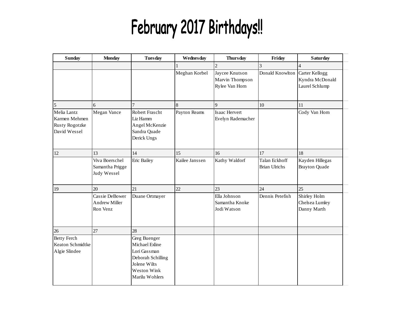# February 2017 Birthdays!!

| <b>Sunday</b>                                                         | <b>Monday</b>                                      | <b>Tuesday</b>                                                                                                       | Wednesday      | <b>Thursday</b>                                     | Friday                                | <b>Saturday</b>                                     |
|-----------------------------------------------------------------------|----------------------------------------------------|----------------------------------------------------------------------------------------------------------------------|----------------|-----------------------------------------------------|---------------------------------------|-----------------------------------------------------|
|                                                                       |                                                    |                                                                                                                      |                | $\overline{c}$                                      | 3                                     | 4                                                   |
|                                                                       |                                                    |                                                                                                                      | Meghan Korbel  | Jaycee Knutson<br>Marvin Thompson<br>Rylee Van Horn | Donald Knowlton                       | Carter Kellogg<br>Kyndra McDonald<br>Laurel Schlump |
| 5                                                                     | 6                                                  | $\overline{7}$                                                                                                       | 8              | 9                                                   | 10                                    | 11                                                  |
| Melia Lantz<br>Karmen Mehmen<br><b>Rusty Rogotzke</b><br>David Wessel | Megan Vance                                        | Robert Frascht<br>Liz Hamm<br>Angel McKenzie<br>Sandra Quade<br>Derick Ungs                                          | Payton Reams   | Isaac Hervert<br>Evelyn Rademacher                  |                                       | Cody Van Horn                                       |
| 12                                                                    | 13                                                 | 14                                                                                                                   | 15             | 16                                                  | 17                                    | 18                                                  |
|                                                                       | Viva Boerschel<br>Samantha Prigge<br>Judy Wessel   | Eric Bailey                                                                                                          | Kailee Janssen | Kathy Waldorf                                       | Talan Eckhoff<br><b>Brian Ulrichs</b> | Kayden Hillegas<br><b>Brayton Quade</b>             |
| 19                                                                    | 20                                                 | 21                                                                                                                   | 22             | 23                                                  | 24                                    | 25                                                  |
|                                                                       | Cassie DeBower<br><b>Andrew Miller</b><br>Ron Venz | Duane Ortmayer                                                                                                       |                | Ella Johnson<br>Samantha Knoke<br>Jodi Watson       | Dennis Petefish                       | Shirley Holm<br>Chelsea Lumley<br>Danny Marth       |
| 26                                                                    | 27                                                 | 28                                                                                                                   |                |                                                     |                                       |                                                     |
| <b>Betty Ferch</b><br>Keaton Schmidtke<br>Algie Slindee               |                                                    | Greg Buenger<br>Michael Exline<br>Lori Gassman<br>Deborah Schilling<br>Jolene Wilts<br>Weston Wink<br>Marilu Wohlers |                |                                                     |                                       |                                                     |